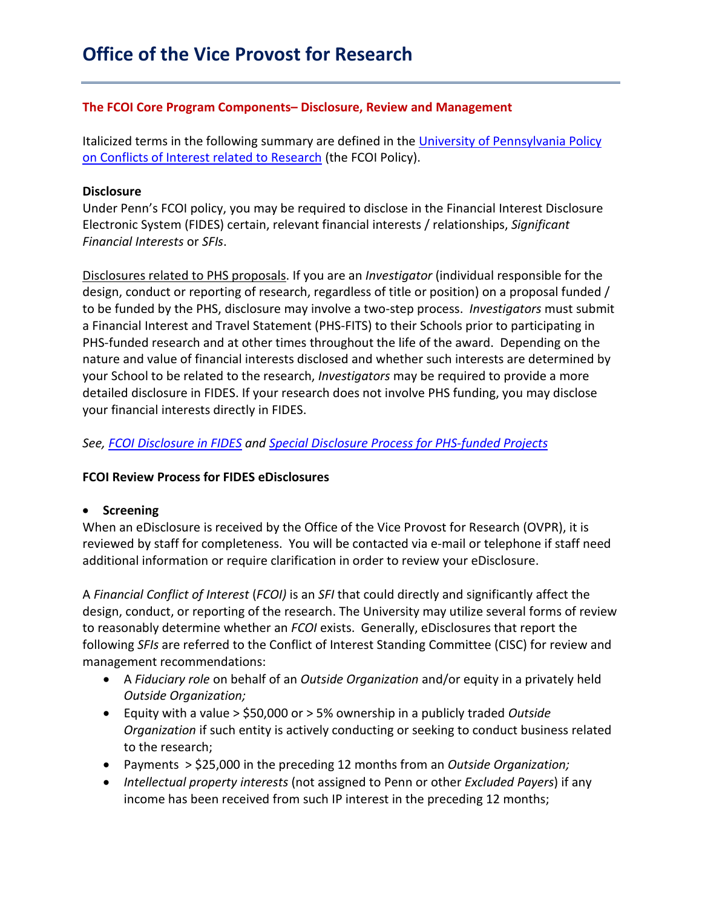### **The FCOI Core Program Components– Disclosure, Review and Management**

Italicized terms in the following summary are defined in the University of Pennsylvania Policy [on Conflicts of Interest related to Research](http://www.upenn.edu/research/pdf/FCOI_Policy_-_Almanac_Version.pdf) (the FCOI Policy).

### **Disclosure**

Under Penn's FCOI policy, you may be required to disclose in the Financial Interest Disclosure Electronic System (FIDES) certain, relevant financial interests / relationships, *Significant Financial Interests* or *SFIs*.

Disclosures related to PHS proposals. If you are an *Investigator* (individual responsible for the design, conduct or reporting of research, regardless of title or position) on a proposal funded / to be funded by the PHS, disclosure may involve a two-step process. *Investigators* must submit a Financial Interest and Travel Statement (PHS-FITS) to their Schools prior to participating in PHS-funded research and at other times throughout the life of the award. Depending on the nature and value of financial interests disclosed and whether such interests are determined by your School to be related to the research, *Investigators* may be required to provide a more detailed disclosure in FIDES. If your research does not involve PHS funding, you may disclose your financial interests directly in FIDES.

*See, [FCOI Disclosure in FIDES](https://research.upenn.edu/wp-content/uploads/FCOI_Disclosure_In_FIDES-5-28-19.pdf) and [Special Disclosure Process for PHS-funded Projects](https://research.upenn.edu/wp-content/uploads/Disclosure_Guidance_for_PHS-FITS-5-28-19.pdf)*

### **FCOI Review Process for FIDES eDisclosures**

### • **Screening**

When an eDisclosure is received by the Office of the Vice Provost for Research (OVPR), it is reviewed by staff for completeness. You will be contacted via e-mail or telephone if staff need additional information or require clarification in order to review your eDisclosure.

A *Financial Conflict of Interest* (*FCOI)* is an *SFI* that could directly and significantly affect the design, conduct, or reporting of the research. The University may utilize several forms of review to reasonably determine whether an *FCOI* exists. Generally, eDisclosures that report the following *SFIs* are referred to the Conflict of Interest Standing Committee (CISC) for review and management recommendations:

- A *Fiduciary role* on behalf of an *Outside Organization* and/or equity in a privately held *Outside Organization;*
- Equity with a value > \$50,000 or > 5% ownership in a publicly traded *Outside Organization* if such entity is actively conducting or seeking to conduct business related to the research;
- Payments > \$25,000 in the preceding 12 months from an *Outside Organization;*
- *Intellectual property interests* (not assigned to Penn or other *Excluded Payers*) if any income has been received from such IP interest in the preceding 12 months;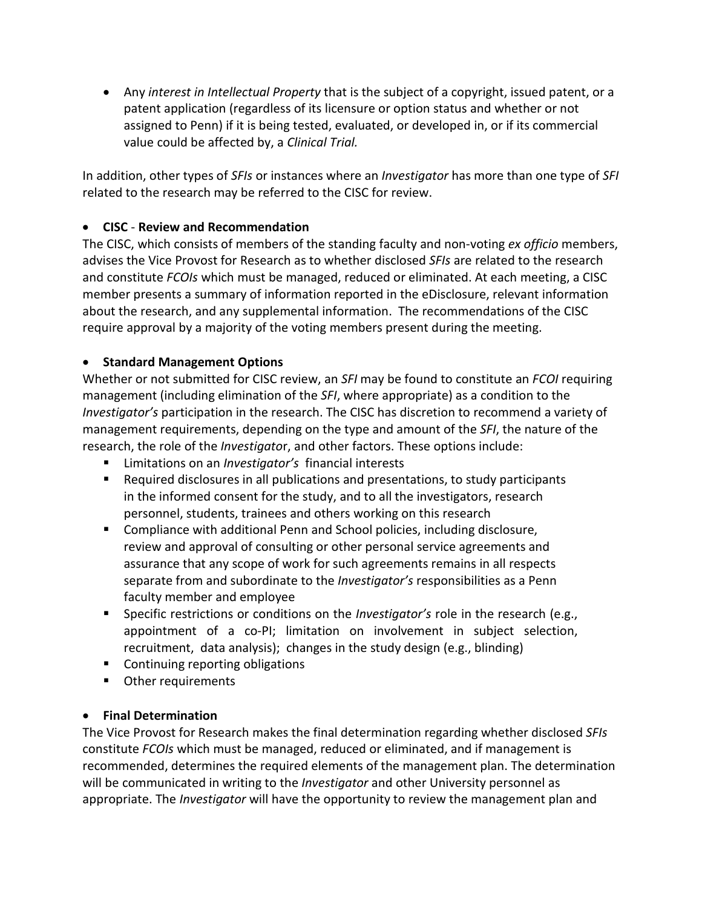• Any *interest in Intellectual Property* that is the subject of a copyright, issued patent, or a patent application (regardless of its licensure or option status and whether or not assigned to Penn) if it is being tested, evaluated, or developed in, or if its commercial value could be affected by, a *Clinical Trial.*

In addition, other types of *SFIs* or instances where an *Investigator* has more than one type of *SFI*  related to the research may be referred to the CISC for review.

# • **CISC** - **Review and Recommendation**

The CISC, which consists of members of the standing faculty and non-voting *ex officio* members, advises the Vice Provost for Research as to whether disclosed *SFIs* are related to the research and constitute *FCOIs* which must be managed, reduced or eliminated. At each meeting, a CISC member presents a summary of information reported in the eDisclosure, relevant information about the research, and any supplemental information. The recommendations of the CISC require approval by a majority of the voting members present during the meeting.

# • **Standard Management Options**

Whether or not submitted for CISC review, an *SFI* may be found to constitute an *FCOI* requiring management (including elimination of the *SFI*, where appropriate) as a condition to the *Investigator's* participation in the research. The CISC has discretion to recommend a variety of management requirements, depending on the type and amount of the *SFI*, the nature of the research, the role of the *Investigato*r, and other factors. These options include:

- Limitations on an *Investigator's* financial interests
- Required disclosures in all publications and presentations, to study participants in the informed consent for the study, and to all the investigators, research personnel, students, trainees and others working on this research
- Compliance with additional Penn and School policies, including disclosure, review and approval of consulting or other personal service agreements and assurance that any scope of work for such agreements remains in all respects separate from and subordinate to the *Investigator's* responsibilities as a Penn faculty member and employee
- Specific restrictions or conditions on the *Investigator's* role in the research (e.g., appointment of a co-PI; limitation on involvement in subject selection, recruitment, data analysis); changes in the study design (e.g., blinding)
- Continuing reporting obligations
- **•** Other requirements

## • **Final Determination**

The Vice Provost for Research makes the final determination regarding whether disclosed *SFIs* constitute *FCOIs* which must be managed, reduced or eliminated, and if management is recommended, determines the required elements of the management plan. The determination will be communicated in writing to the *Investigator* and other University personnel as appropriate. The *Investigator* will have the opportunity to review the management plan and